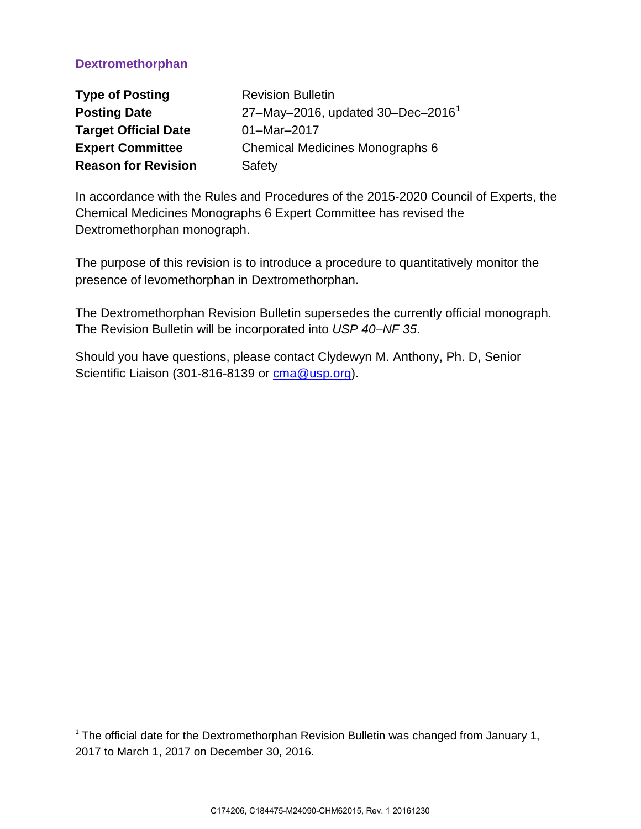# **Dextromethorphan**

l

| <b>Type of Posting</b>      | <b>Revision Bulletin</b>                      |
|-----------------------------|-----------------------------------------------|
| <b>Posting Date</b>         | 27-May-2016, updated 30-Dec-2016 <sup>1</sup> |
| <b>Target Official Date</b> | 01-Mar-2017                                   |
| <b>Expert Committee</b>     | Chemical Medicines Monographs 6               |
| <b>Reason for Revision</b>  | Safety                                        |

In accordance with the Rules and Procedures of the 2015-2020 Council of Experts, the Chemical Medicines Monographs 6 Expert Committee has revised the Dextromethorphan monograph.

The purpose of this revision is to introduce a procedure to quantitatively monitor the presence of levomethorphan in Dextromethorphan.

The Dextromethorphan Revision Bulletin supersedes the currently official monograph. The Revision Bulletin will be incorporated into *USP 40–NF 35*.

Should you have questions, please contact Clydewyn M. Anthony, Ph. D, Senior Scientific Liaison (301-816-8139 or [cma@usp.org\)](mailto:cma@usp.org).

<span id="page-0-0"></span> $1$ The official date for the Dextromethorphan Revision Bulletin was changed from January 1, 2017 to March 1, 2017 on December 30, 2016.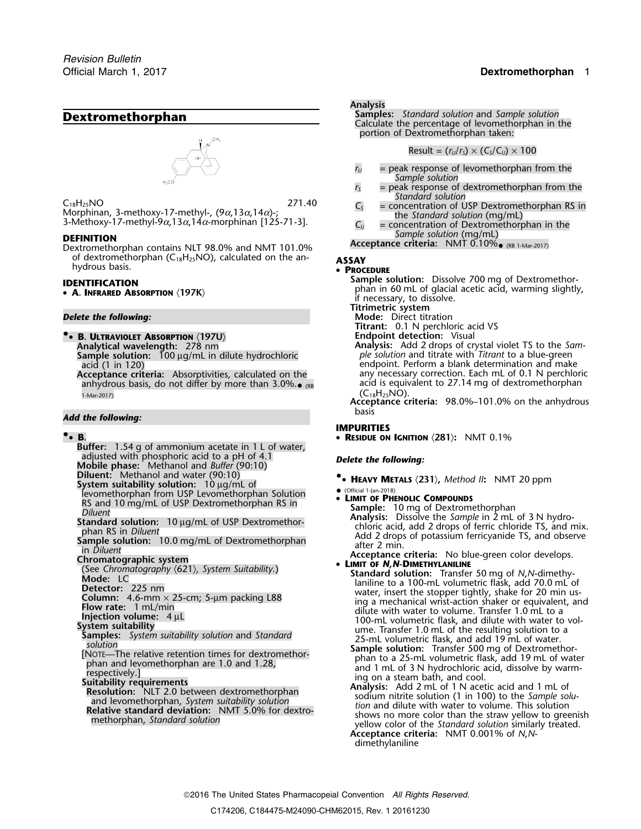

 $C_{18}H_{25}NO$ <br>Morphinan, 3-methoxy-17-methyl-,  $(9\alpha, 13\alpha, 14\alpha)$ -;<br>3-Methoxy-17-methyl-9 $\alpha$ ,  $13\alpha, 13\alpha, 14\alpha$ )-;<br>3-Methoxy-17-methyl-9 $\alpha$ ,  $13\alpha, 14\alpha$ -morphinan [125-71-3].<br>3-Methoxy-17-methyl-9 $\alpha$ ,  $13\alpha, 14\alpha$ -m

Dextromethorphan contains NLT 98.0% and NMT 101.0% of dextromethorphan (C18H25NO), calculated on the an- **ASSAY** hydrous basis. •

**• A. INFRARED ABSORPTION**  $\langle 197K \rangle$ 

**8. ULTRAVIOLET ABSORPTION**  $\langle 197U \rangle$ <br>**Analytical wavelength:** 278 nm

**Sample solution:** 100 µg/mL in dilute hydrochloric *acid* (1 in 120)

anhydrous basis, do not differ by more than 3.0%. $_{\bullet}$   $_{\sf RB}$   $\qquad \qquad$  acid is equivalent to 27.14 mg of dextromethorphan

# **Add the following:**  $\qquad \qquad \text{basis}$

### **•**

- **Buffer:** 1.54 g of ammonium acetate in 1 L of water, adjusted with phosphoric acid to a pH of 4.1 adjusted with phosphoric acid to a pH of 4.1 *Delete the following:* **Mobile phase:** Methanol and *Buffer* (90:10)
- 
- Diluent: Methanol and water (90:10)<br>System suitability solution: 10 µg/mL of **Carry Property Augustan System System System System System System Sy**<br>Dinity of Phisness of Phisness Componions (Componion Componion Component C
- 
- 
- 

- 
- 
- 
- 
- 
- 
- 
- 
- 

### **Analysis**

**Dextromethorphan Samples:** *Standard solution* and *Sample solution* Calculate the percentage of levomethorphan in the portion of Dextromethorphan taken:

 $Result = (r<sub>U</sub>/r<sub>S</sub>) \times (C<sub>S</sub>/C<sub>U</sub>) \times 100$ 

- $r_U$  = peak response of levomethorphan from the *Sample solution*
- *r*<sub>S</sub> = peak response of dextromethorphan from the Standard solution
- 
- **DEFINITION**<br>Deviromethornhan contains NIT 98.0% and NMT 101.0% **Acceptance criteria:** NMT 0.10% (RB 1-Mar-2017)

### **PROCEDURE**

- **Sample solution:** Dissolve 700 mg of Dextromethor- **IDENTIFICATION** phan in 60 mL of glacial acetic acid, warming slightly, if necessary, to dissolve.
	- **Titrimetric system**
- *Delete the following:* **Mode:** Direct titration
	-
	- **Titrant:** 0.1 N perchloric acid VS<br>**Endpoint detection:** Visual Analysis: Add 2 drops of crystal violet TS to the *Sam-*<br>ple solution and titrate with *Titrant* to a blue-green

acid (1 in 120)<br>Acceptance criteria: Absorptivities, calculated on the endpoint. Perform a blank determination and make any necessary correction. Each mL of 0.1 N perchloric acid is equivalent to 27.14 mg of dextromethorphan 1-Mar-2017)<br>1-Mar-2017) **Acceptance criteria:** 98.0%–101.0% on the anhydrous

## **IMPURITIES**

**.**• **B.** • **RESIDUE ON IGNITION** 〈**281**〉**:** NMT 0.1%

- 
- 
- EXAMELION ON THE STATE OF PHENOLIC COMPOUNDS<br>
STATE OF PRENOLIC COMPOUNDS<br>
Diluent<br>
Diluent<br>
Diluent<br>
Standard solution: 10 µg/mL of USP Dextromethor-<br>
phan RS in Diluent<br>
phan RS in Diluent<br>
in Diluent<br>
in Diluent<br>
(See C

- Chromatography (621), System Suitability.)<br>
Contained Scheen Chromatography (621), System Suitability.)<br>
Medic: LC<br>
LCC 225 nm<br>
Detector: 225 nm<br>
Detector: 225 nm<br>
Detector: 225 nm<br>
Detector: 225 nm<br>
Detector: 225 nm<br>
Dete
	-

**Acceptance criteria:** NMT 0.001% of *N*,*N*dimethylaniline